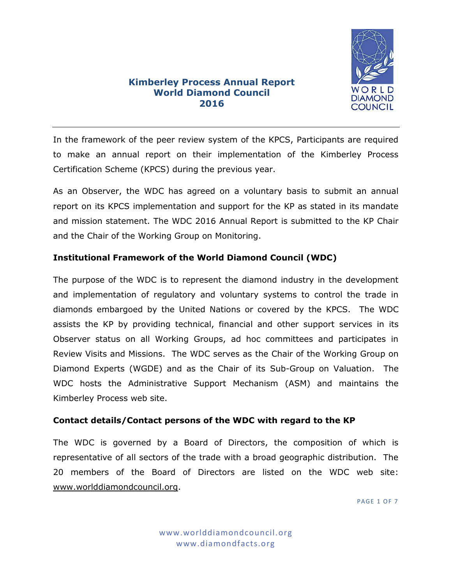

# **Kimberley Process Annual Report World Diamond Council 2016**

In the framework of the peer review system of the KPCS, Participants are required to make an annual report on their implementation of the Kimberley Process Certification Scheme (KPCS) during the previous year.

As an Observer, the WDC has agreed on a voluntary basis to submit an annual report on its KPCS implementation and support for the KP as stated in its mandate and mission statement. The WDC 2016 Annual Report is submitted to the KP Chair and the Chair of the Working Group on Monitoring.

## **Institutional Framework of the World Diamond Council (WDC)**

The purpose of the WDC is to represent the diamond industry in the development and implementation of regulatory and voluntary systems to control the trade in diamonds embargoed by the United Nations or covered by the KPCS. The WDC assists the KP by providing technical, financial and other support services in its Observer status on all Working Groups, ad hoc committees and participates in Review Visits and Missions. The WDC serves as the Chair of the Working Group on Diamond Experts (WGDE) and as the Chair of its Sub-Group on Valuation. The WDC hosts the Administrative Support Mechanism (ASM) and maintains the Kimberley Process web site.

## **Contact details/Contact persons of the WDC with regard to the KP**

The WDC is governed by a Board of Directors, the composition of which is representative of all sectors of the trade with a broad geographic distribution. The 20 members of the Board of Directors are listed on the WDC web site: [www.worlddiamondcouncil.org.](http://www.worlddiamondcouncil.org/)

**PAGE 1 OF 7**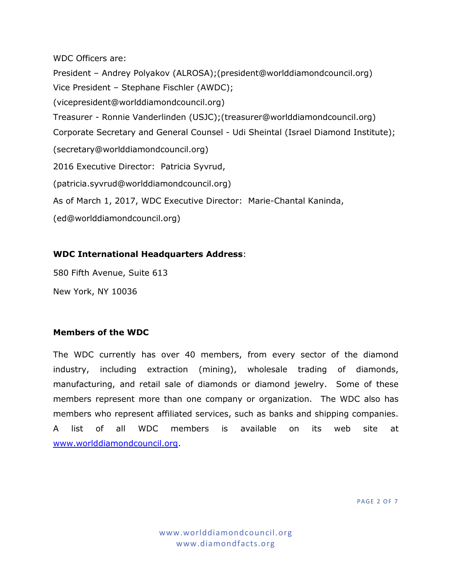WDC Officers are: President – Andrey Polyakov (ALROSA);(president@worlddiamondcouncil.org) Vice President – Stephane Fischler (AWDC); (vicepresident@worlddiamondcouncil.org) Treasurer - Ronnie Vanderlinden (USJC);(treasurer@worlddiamondcouncil.org) Corporate Secretary and General Counsel - Udi Sheintal (Israel Diamond Institute); (secretary@worlddiamondcouncil.org) 2016 Executive Director: Patricia Syvrud, (patricia.syvrud@worlddiamondcouncil.org) As of March 1, 2017, WDC Executive Director: Marie-Chantal Kaninda, (ed@worlddiamondcouncil.org)

#### **WDC International Headquarters Address**:

580 Fifth Avenue, Suite 613

New York, NY 10036

#### **Members of the WDC**

The WDC currently has over 40 members, from every sector of the diamond industry, including extraction (mining), wholesale trading of diamonds, manufacturing, and retail sale of diamonds or diamond jewelry. Some of these members represent more than one company or organization. The WDC also has members who represent affiliated services, such as banks and shipping companies. A list of all WDC members is available on its web site at [www.worlddiamondcouncil.org.](http://www.worlddiamondcouncil.org/)

**PAGE 2 OF 7**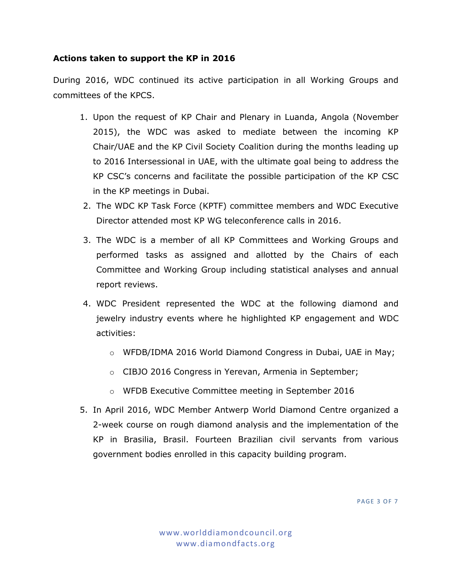## **Actions taken to support the KP in 2016**

During 2016, WDC continued its active participation in all Working Groups and committees of the KPCS.

- 1. Upon the request of KP Chair and Plenary in Luanda, Angola (November 2015), the WDC was asked to mediate between the incoming KP Chair/UAE and the KP Civil Society Coalition during the months leading up to 2016 Intersessional in UAE, with the ultimate goal being to address the KP CSC's concerns and facilitate the possible participation of the KP CSC in the KP meetings in Dubai.
- 2. The WDC KP Task Force (KPTF) committee members and WDC Executive Director attended most KP WG teleconference calls in 2016.
- 3. The WDC is a member of all KP Committees and Working Groups and performed tasks as assigned and allotted by the Chairs of each Committee and Working Group including statistical analyses and annual report reviews.
- 4. WDC President represented the WDC at the following diamond and jewelry industry events where he highlighted KP engagement and WDC activities:
	- o WFDB/IDMA 2016 World Diamond Congress in Dubai, UAE in May;
	- o CIBJO 2016 Congress in Yerevan, Armenia in September;
	- o WFDB Executive Committee meeting in September 2016
- 5. In April 2016, WDC Member Antwerp World Diamond Centre organized a 2-week course on rough diamond analysis and the implementation of the KP in Brasilia, Brasil. Fourteen Brazilian civil servants from various government bodies enrolled in this capacity building program.

**PAGE 3 OF 7**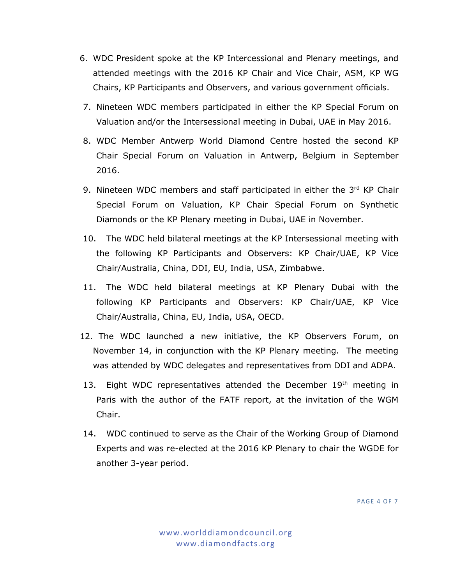- 6. WDC President spoke at the KP Intercessional and Plenary meetings, and attended meetings with the 2016 KP Chair and Vice Chair, ASM, KP WG Chairs, KP Participants and Observers, and various government officials.
- 7. Nineteen WDC members participated in either the KP Special Forum on Valuation and/or the Intersessional meeting in Dubai, UAE in May 2016.
- 8. WDC Member Antwerp World Diamond Centre hosted the second KP Chair Special Forum on Valuation in Antwerp, Belgium in September 2016.
- 9. Nineteen WDC members and staff participated in either the 3rd KP Chair Special Forum on Valuation, KP Chair Special Forum on Synthetic Diamonds or the KP Plenary meeting in Dubai, UAE in November.
- 10. The WDC held bilateral meetings at the KP Intersessional meeting with the following KP Participants and Observers: KP Chair/UAE, KP Vice Chair/Australia, China, DDI, EU, India, USA, Zimbabwe.
- 11. The WDC held bilateral meetings at KP Plenary Dubai with the following KP Participants and Observers: KP Chair/UAE, KP Vice Chair/Australia, China, EU, India, USA, OECD.
- 12. The WDC launched a new initiative, the KP Observers Forum, on November 14, in conjunction with the KP Plenary meeting. The meeting was attended by WDC delegates and representatives from DDI and ADPA.
- 13. Eight WDC representatives attended the December 19<sup>th</sup> meeting in Paris with the author of the FATF report, at the invitation of the WGM Chair.
- 14. WDC continued to serve as the Chair of the Working Group of Diamond Experts and was re-elected at the 2016 KP Plenary to chair the WGDE for another 3-year period.

**PAGE 4 OF 7**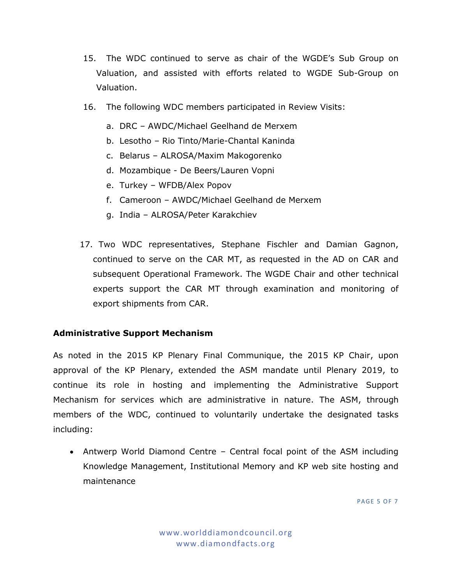- 15. The WDC continued to serve as chair of the WGDE's Sub Group on Valuation, and assisted with efforts related to WGDE Sub-Group on Valuation.
- 16. The following WDC members participated in Review Visits:
	- a. DRC AWDC/Michael Geelhand de Merxem
	- b. Lesotho Rio Tinto/Marie-Chantal Kaninda
	- c. Belarus ALROSA/Maxim Makogorenko
	- d. Mozambique De Beers/Lauren Vopni
	- e. Turkey WFDB/Alex Popov
	- f. Cameroon AWDC/Michael Geelhand de Merxem
	- g. India ALROSA/Peter Karakchiev
- 17. Two WDC representatives, Stephane Fischler and Damian Gagnon, continued to serve on the CAR MT, as requested in the AD on CAR and subsequent Operational Framework. The WGDE Chair and other technical experts support the CAR MT through examination and monitoring of export shipments from CAR.

## **Administrative Support Mechanism**

As noted in the 2015 KP Plenary Final Communique, the 2015 KP Chair, upon approval of the KP Plenary, extended the ASM mandate until Plenary 2019, to continue its role in hosting and implementing the Administrative Support Mechanism for services which are administrative in nature. The ASM, through members of the WDC, continued to voluntarily undertake the designated tasks including:

 Antwerp World Diamond Centre – Central focal point of the ASM including Knowledge Management, Institutional Memory and KP web site hosting and maintenance

**PAGE 5 OF 7**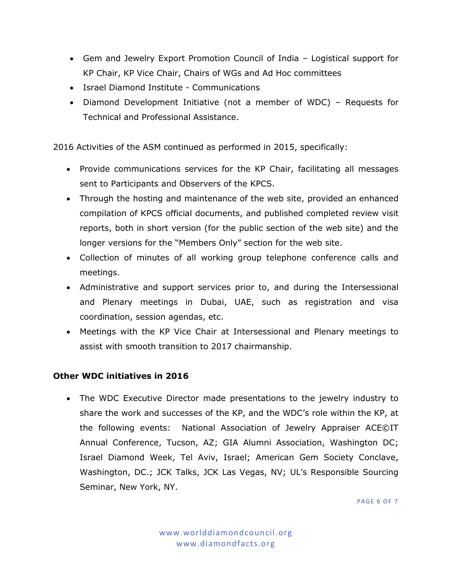- Gem and Jewelry Export Promotion Council of India Logistical support for KP Chair, KP Vice Chair, Chairs of WGs and Ad Hoc committees
- Israel Diamond Institute Communications
- Diamond Development Initiative (not a member of WDC) Requests for Technical and Professional Assistance.

2016 Activities of the ASM continued as performed in 2015, specifically:

- Provide communications services for the KP Chair, facilitating all messages sent to Participants and Observers of the KPCS.
- Through the hosting and maintenance of the web site, provided an enhanced compilation of KPCS official documents, and published completed review visit reports, both in short version (for the public section of the web site) and the longer versions for the "Members Only" section for the web site.
- Collection of minutes of all working group telephone conference calls and meetings.
- Administrative and support services prior to, and during the Intersessional and Plenary meetings in Dubai, UAE, such as registration and visa coordination, session agendas, etc.
- Meetings with the KP Vice Chair at Intersessional and Plenary meetings to assist with smooth transition to 2017 chairmanship.

# **Other WDC initiatives in 2016**

 The WDC Executive Director made presentations to the jewelry industry to share the work and successes of the KP, and the WDC's role within the KP, at the following events: National Association of Jewelry Appraiser ACE©IT Annual Conference, Tucson, AZ; GIA Alumni Association, Washington DC; Israel Diamond Week, Tel Aviv, Israel; American Gem Society Conclave, Washington, DC.; JCK Talks, JCK Las Vegas, NV; UL's Responsible Sourcing Seminar, New York, NY.

PAGE 6 OF 7